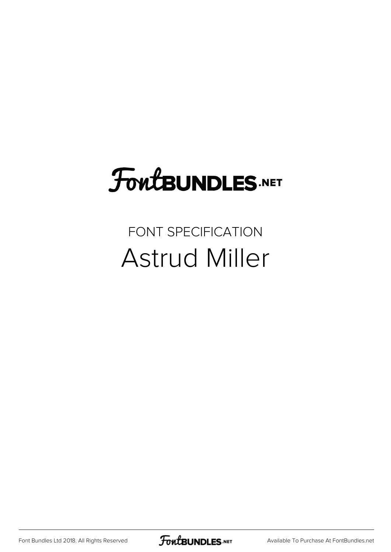## FoutBUNDLES.NET

#### FONT SPECIFICATION Astrud Miller

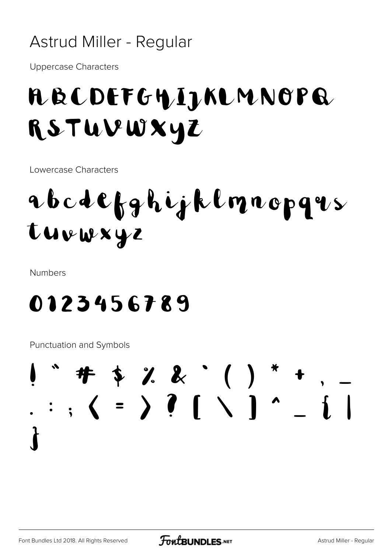#### Astrud Miller - Regular

**Uppercase Characters** 

#### A B C DEF GHIJ KLM NOP Q RSTUVWXYZ

Lowercase Characters

### abcdefghijklmnopqus tuvwxyz

**Numbers** 

#### 0123456789

Punctuation and Symbols

#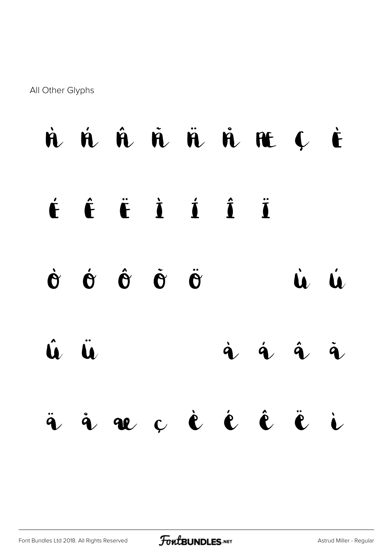All Other Glyphs



[Font Bundles Ltd 2018. All Rights Reserved](https://fontbundles.net/) **FoutBUNDLES.NET** [Astrud Miller - Regular](https://fontbundles.net/)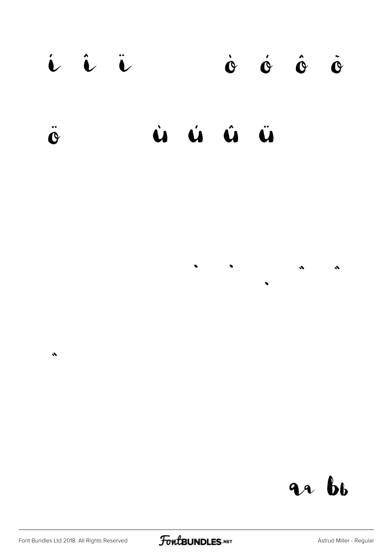#### i î ï  $\dot{\mathbf{O}}\qquad\dot{\mathbf{O}}\qquad\dot{\mathbf{O}}\qquad\dot{\mathbf{O}}\qquad\dot{\mathbf{O}}$  $\ddot{\mathbf{C}}$  $\mathbf{A}$  $\mathbf{a}$ Ü  $\hat{\mathbf{u}}$

 $\bullet$ 

 $\bullet$ 

an bb

 $\hat{\mathcal{M}}$ 

 $\bullet$ 

 $\bullet$ 

 $\bullet$